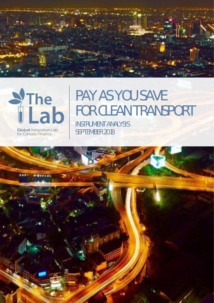



**Global Innovation Lab** for Climate Finance

# **PAY AS YOU SAVE FOR CLEAN TRANSPORT**

 INSTRUMENT ANALYSIS SEPTEMBER 2018

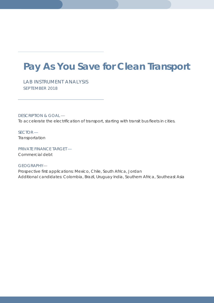## **Pay As You Save for Clean Transport**

*LAB INSTRUMENT ANALYSIS SEPTEMBER 2018*

DESCRIPTION & GOAL — To accelerate the electrification of transport, starting with transit bus fleets in cities.

SECTOR — Transportation

PRIVATE FINANCE TARGET — Commercial debt

#### GEOGRAPHY—

Prospective first applications: Mexico, Chile, South Africa, Jordan Additional candidates: Colombia, Brazil, Uruguay India, Southern Africa, Southeast Asia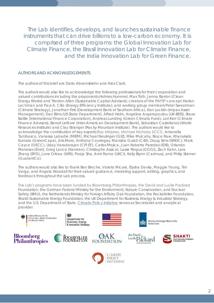The Lab identifies, develops, and launches sustainable finance instruments that can drive billions to a low-carbon economy. It is comprised of three programs: the Global Innovation Lab for Climate Finance, the Brasil Innovation Lab for Climate Finance, and the India Innovation Lab for Green Finance.

#### AUTHORS AND ACKNOWLEDGEMENTS

The authors of this brief are Dario Abramskiehn and Alex Clark.

The authors would also like to acknowledge the following professionals for their cooperation and valued contributions including the proponents Holmes Hummel, Max Toth, Jenna Barron (Clean Energy Works) and Trenton Allen (Sustainable Capital Advisors); creators of the PAYS® concept Harlan Lachman and Paul A. Cillo (Energy Efficiency Institute); and working group members Peter Sweatman (Climate Strategy), Jonathan First (Development Bank of Southern Africa), Ken Locklin (Impax Asset Management), Dan Birns (US State Department), Alfred Helm, Angelina Avgeropoulou (UK-BEIS), Steve Baillie (International Finance Corporation), Andreas Lunding (Green Climate Fund), Lori Kerr (Climate Finance Advisors), Benoit Lefèvre (Inter-American Development Bank), Sebastian Castellanos (World Resources Institute) and Clay Stranger (Rocky Mountain Institute). The authors would like to acknowledge the contribution of key experts Ray Minjares, Michael Nicholas (ICCT), Antonella Tambasco, Vanessa Labadie (MIEM), Michael Neulinger (GIZ), Mike Mulcahy, Bruce Raw, Khanyiselo Kumalo (GreenCape), Aris Moro, Anthony Courreges, Manisha Gulati (C40), Doug Sims (NRDC), Mark Cayce (OECC), Uday Varadarajan (CPI EF), Carlos Mojica, Juan Roberto Paredes (IDB), Orlando Meneses (Enel), Greg Lance (Kandeo), Christophe Assicot, Lasse Ringus (GGGI), Zach Kahn, Lara Zhang (BYD), Jone Orbea (WRI), Pooja Sha, Amir Rama (UKCI), Kelly Blynn (Cadmus), and Philip Skinner (GuarantCo).

The authors would also like to thank Ben Broche, Valerio Micale, Elysha Davila, Maggie Young, Tim Varga, and Angela Woodall for their valued guidance, modeling support, editing, graphics, and feedback throughout the Lab process.

The Lab's programs have been funded by Bloomberg Philanthropies, the David and Lucile Packard Foundation, the German Federal Ministry for the Environment, Nature Conservation, and Nuclear Safety (BMU), the Netherlands Ministry for Foreign Affairs, Oak Foundation, the Rockefeller Foundation, Shakti Sustainable Energy Foundation, the UK Department for Business, Energy & Industrial Strategy, and the U.S. Department of State. [Climate Policy Initiative](https://climatepolicyinitiative.org/) serves as Secretariat and analytical provider.

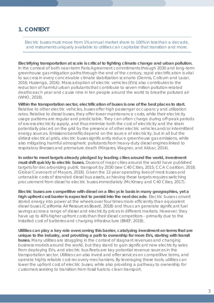#### **1. CONTEXT**

*Electric buses must move from 1% annual market share to 100% in less than a decade, and instruments uniquely available to utilities can capitalize that transition and more.*

**Electrifying transportation at scale is critical to fighting climate change and urban pollution.**  In the context of both near-term Paris Agreement commitments through 2030 and long-term greenhouse gas mitigation paths through the end of the century, rapid electrification is vital to success in every conceivable climate stabilization scenario (Dennis, Colburn and Lazar, 2016; Huizenga, 2016). Mass adoption of electric vehicles (EVs) also contributes to the reduction of harmful urban pollutants that contribute to seven million pollution-related deaths each year and cause nine in ten people around the world to breathe polluted air (WHO, 2018).

**Within the transportation sector, electrification of buses is one of the best places to start.** Relative to other electric vehicles, buses offer high passenger occupancy and utilization rates. Relative to diesel buses, they offer lower maintenance costs, while their electricity usage patterns are regular and predictable. They can often charge during off-peak periods of excess electricity supply, and thus minimize both the cost of electricity and the strain potentially placed on the grid by the presence of other electric vehicles and/or intermittent energy sources. Emissions benefits depend on the source of electricity, but in all but the dirtiest electrical grids, electric buses significantly reduce greenhouse gas emissions, while also mitigating harmful atmospheric pollutants from heavy-duty diesel engines linked to respiratory illnesses and premature death (Minjares, Wagner, and Akbar, 2014).

**In order to meet targets already pledged by leading cities around the world, investment must shift quickly to electric buses.** Dozens of major cities around the world have published targets for decarbonizing public transport by 2030 (see C40 Cities, 2015; CCA Coalition, 2018; Global Covenant of Mayors, 2018). Given the 12-year operating lives of most buses and untenable costs of stranded diesel bus assets, achieving these targets requires switching procurement from diesel to electric buses immediately (McKinsey and C40 Cities, 2017).

**Electric buses are competitive with diesel on a lifecycle basis in many geographies, yet a high upfront cost barrier is expected to persist into the next decade**. Electric buses convert stored energy into power at the wheels over four times more efficiently than equivalent diesel buses (California Air Resources Board, 2018) and thus can generate significant fuel savings across a range of diesel and electricity prices in different markets. However, they have up to 40% higher upfront costs than their diesel competitors – primarily due to the installed cost of batteries and charging infrastructure (BNEF, 2018).

**Utilities can play a key role overcoming this barrier, catalyzing investment on terms that are unique to the industry, and providing a path to ownership for more EVs, starting with transit buses.** Many utilities are struggling in the context of stagnant revenues and changing business models around the world, but they stand to gain significant new electricity sales from deploying EVs, and electric bus fleets are key potential revenue sources in the transportation sector. Utilities can also invest and offer services on competitive terms, and operate highly reliable cost recovery mechanisms. By leveraging these tools, utilities can lower the upfront cost of electric buses, while also providing a pathway to ownership for customers seeking to transition from fossil fuels to clean transport.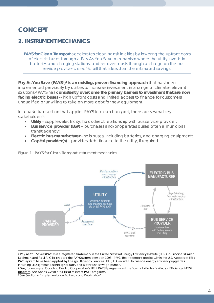## *CONCEPT*

#### **2. INSTRUMENT MECHANICS**

*PAYS for Clean Transport accelerates clean transit in cities by lowering the upfront costs of electric buses through a Pay As You Save mechanism where the utility invests in batteries and charging stations, and recovers costs through a charge on the bus service provider's electric bill that is less than the estimated savings.* 

**Pay As You Save (PAYS®) 1 is an existing, proven financing approach** that has been implemented previously by utilities to increase investment in a range of climate-relevant solutions. <sup>2</sup> PAYS has **consistently overcome the primary barriers to investment that are now facing electric buses** -- high upfront costs and limited access to finance for customers unqualified or unwilling to take on more debt for new equipment.

In a basic transaction that applies *PAYS to clean transport*, there are several key stakeholders<sup>3</sup> :

- **Utility** supplies electricity; holds direct relationship with bus service provider;
- **Bus service provider (BSP)** purchases and/or operates buses, often a municipal transit agency;
- **Electric bus manufacturer**  sells buses, including batteries, and charging equipment;
- **Capital provider(s)** provides debt finance to the utility, if required.



*Figure 1 - PAYS for Clean Transport instrument mechanics*

 $\overline{a}$ 

<sup>1</sup> Pay As You Save® (PAYS®) is a registered trademark in the United States of Energy Efficiency Institute (EEI). Co-Principals Harlan Lachman and Paul A. Cillo created the PAYS system between 1998 - 1999, The trademark applies within the U.S. Aspects of EEI's PAYS system [have been applied by Energy Efficiency Services Ltd.](https://d2oc0ihd6a5bt.cloudfront.net/wp-content/uploads/sites/837/2017/06/04-Success-Story-Scaling-Up-Energy-Efficiency-An-Indian-Experience.pdf) (EESL) in India, to finance energy efficiency upgrades including LED lightbulbs, street lights, fans, and water and sewage pumps.

<sup>&</sup>lt;sup>2</sup> See, for example, Ouachita Electric Cooperative's [HELP PAYS](https://www.oecc.com/help)® program and the Town of Windsor's [Windsor Efficiency PAYS](https://www.townofwindsor.com/819/Windsor-Efficiency-PAYS)® [program.](https://www.townofwindsor.com/819/Windsor-Efficiency-PAYS) See Annex 7.2 for a full list of relevant PAYS programs.

<sup>3</sup> See Section 4, "Implementation Pathway and Replication".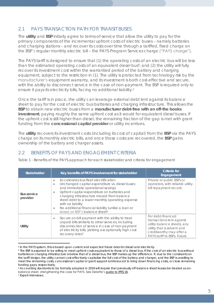#### 2.1 PAYS TRANSACTION PATH FOR TRANSIT BUSES

The **utility** and **BSP** initially agree to terms-of-service that allow the utility to pay for the primary components of the incremental upfront costs of electric buses – namely batteries and charging stations – and recover its costs over time through a tariffed, fixed charge on the BSP's regular monthly electric bill – the PAYS Program Services charge ("PAYS charge").

The PAYS tariff is designed to ensure that (1) the operating costs of an electric bus will be less than the estimated operating costs of an equivalent diesel bus<sup>4</sup>; and (2) the utility will fully recover its investment cost within the warrantied period of the battery and charging equipment, subject to the restriction in (1). The utility is protected from technology risk by the manufacturer's equipment warranty, and its investment is both cost-effective and secure, with the ability to disconnect service in the case of non-payment. The BSP is required only to ensure it pays its electricity bills, facing no additional liability.<sup>5</sup>

Once the tariff is in place, the utility can leverage external debt lent against its balance sheet to pay for the cost of electric bus batteries and charging infrastructure. This allows the **BSP** to obtain new electric buses from a **manufacturer debt-free with an off-the books investment**, paying roughly the same upfront cost as it would for equivalent diesel buses. If the upfront cost is still higher than diesel, the remaining fraction of the gap is met with grant funding from the **concessional capital provider** or utility incentives.

The **utility** recovers its investment costs (including its cost of capital) from the **BSP** via the PAYS charge on its monthly electric bills, and once those costs are recovered, the **BSP** gains ownership of the battery and charger assets.

#### 2.2 BENEFITS OF PAYS AND ENGAGEMENT CRITERIA

*Table 1 - Benefits of the PAYS approach for each stakeholder and criteria for engagement*

| <b>Stakeholder</b>             | Key benefits of PAYS involvement for stakeholder                                                                                                                                                                                                                                                                                                                                                                                       | Criteria for<br>Engagement                                                                                                                                              |
|--------------------------------|----------------------------------------------------------------------------------------------------------------------------------------------------------------------------------------------------------------------------------------------------------------------------------------------------------------------------------------------------------------------------------------------------------------------------------------|-------------------------------------------------------------------------------------------------------------------------------------------------------------------------|
| <b>Bus service</b><br>provider | Accelerates bus fleet electrification<br>$\bullet$<br>Unchanged capital expenditure vs. diesel buses<br>$\bullet$<br>and immediate operational savings<br>Upfront capital expenditure on batteries and<br>charging infrastructure moved from balance<br>sheet debt to a lower monthly operating expense<br>with no liability<br>No additional financial liability (unlike a loan or<br>۰<br>lease) on BSP's balance sheet <sup>6</sup> | Private or public BSPs or<br>operators, with reliable utility-<br>bill repayment record.                                                                                |
| Utility                        | Secure on-bill payment with the ability to treat<br>۰<br>unpaid bills similarly to other services, including<br>disconnection of service in case of non-payment<br>of electricity bills, yielding exceptionally high cost<br>recovery rates <sup>7</sup>                                                                                                                                                                               | For debt-financed<br>transactions lent against<br>utility balance sheets, any<br>utility that is solvent and<br>creditworthy may offer a<br>PAYS tariff to BSPs. Future |

 $\overline{a}$ <sup>4</sup> In the PAYS system, this is based upon current and expected future rates for diesel and electricity.

<sup>5</sup> The BSP is assumed to be willing to meet upfront costs equivalent to those of a diesel bus. If the cost of an electric bus without batteries or charging infrastructure is below that of a diesel bus, the BSP makes up the difference. If, due to the constraints on the tariff design, the utility cannot cost-effectively capitalize the full cost of the battery and charger, *and* the BSP is unwilling to meet the remaining costs, concessional capital or grant support is introduced to bring down financing costs, or close remaining funding gaps, respectively.

<sup>6</sup> Accounting standards to be formally adopted in 2019 will require that previously off-balance sheet leases be treated as onbalance sheet, strengthening the case for PAYS. See Deloitte's [guide to IFRS 16.](https://www2.deloitte.com/gu/en/pages/audit/articles/a-guide-to-IFRS-16.html)

<sup>7</sup> Expert interviews.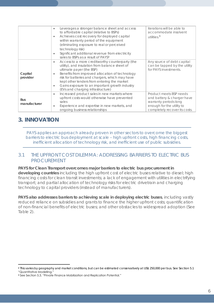|                            | Leverages a stronger balance sheet and access<br>$\bullet$<br>to affordable capital (relative to BSPs)<br>Achieves cost recovery for deployed capital<br>$\bullet$<br>within warranty period of the equipment<br>(eliminating exposure to real or perceived<br>technology risk)<br>Significant additional revenue from electricity<br>sales to BSPs as a result of PAYS <sup>8</sup>                             | iterations will be able to<br>accommodate insolvent<br>utilities. <sup>9</sup>                                                               |
|----------------------------|------------------------------------------------------------------------------------------------------------------------------------------------------------------------------------------------------------------------------------------------------------------------------------------------------------------------------------------------------------------------------------------------------------------|----------------------------------------------------------------------------------------------------------------------------------------------|
| Capital<br>provider        | Access to a more creditworthy counterparty (the<br>$\bullet$<br>utility), and insulation from balance sheet of<br>ultimate payer (the BSP)<br>Benefits from improved allocation of technology<br>$\bullet$<br>risk for batteries and chargers, which may have<br>kept other lenders from entering the market<br>Gains exposure to an important growth industry<br>$\bullet$<br>(EVs and charging infrastructure) | Any source of debt capital<br>can be tapped by the utility<br>for PAYS investments.                                                          |
| <b>Bus</b><br>manufacturer | Increased product sales in new markets where<br>$\bullet$<br>upfront costs would otherwise have prevented<br>sales<br>Experience and expertise in new markets, and<br>ongoing business relationships                                                                                                                                                                                                             | Product meets BSP needs<br>and battery & charger have<br>warranty periods long<br>enough for the utility to<br>completely recover its costs. |

## **3. INNOVATION**

*PAYS applies an approach already proven in other sectors to overcome the biggest barriers to electric bus deployment at scale – high upfront costs, high financing costs, inefficient allocation of technology risk, and inefficient use of public subsidies.* 

#### 3.1 THE UPFRONT COST DILEMMA: ADDRESSING BARRIERS TO ELECTRIC BUS PROCUREMENT

**PAYS for Clean Transport overcomes major barriers to electric bus procurement in developing countries** including the high upfront cost of electric buses relative to diesel; high financing costs for clean transit investments; a lack of engagement with utilities in electrifying transport; and partial allocation of technology risks for electric drivetrain and charging technology to capital providers (instead of manufacturers).

**PAYS also addresses barriers to achieving scale in deploying electric buses**, including vastly reduced reliance on subsidies and grants to finance the higher upfront costs; quantification of non-financial benefits of electric buses; and other obstacles to widespread adoption (See Table 2).

 $\overline{a}$ <sup>8</sup> This varies by geography and market conditions, but can be estimated conservatively at US\$ 250,000 per bus. See Section 5.1 "Quantitative Modelling."

<sup>9</sup> See Section 5.3, "Private Finance Mobilization and Replication Potential."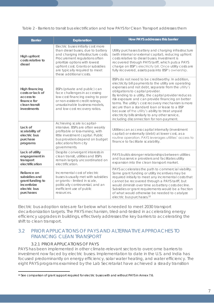*Table 2 - Barriers to transit bus electrification and how PAYS for Clean Transport addresses them*

| <b>Barrier</b>                                                                                 | Explanation                                                                                                                                                                                                                                                                        | How PAYS addresses this barrier                                                                                                                                                                                                                                                                                                                                                                                                                                                                                                                                                   |
|------------------------------------------------------------------------------------------------|------------------------------------------------------------------------------------------------------------------------------------------------------------------------------------------------------------------------------------------------------------------------------------|-----------------------------------------------------------------------------------------------------------------------------------------------------------------------------------------------------------------------------------------------------------------------------------------------------------------------------------------------------------------------------------------------------------------------------------------------------------------------------------------------------------------------------------------------------------------------------------|
| High upfront<br>costs relative to<br>diesel                                                    | Electric buses initially cost more<br>than diesel buses, due to battery<br>and charging infrastructure costs.<br>Procurement regulations often<br>prioritize options with lowest<br>upfront cost. Grants or subsidies<br>are typically required to meet<br>these additional costs. | Utility purchases battery and charging infrastructure<br>(with internal or external capital), reducing upfront<br>costs relative to diesel buses. Investment is<br>recovered through PAYS tariff, which puts a PAYS<br>charge on BSP's electricity bill. Once utility costs are<br>fully recovered, assets pass into BSP's ownership.                                                                                                                                                                                                                                             |
| High financing<br>costs or lack of<br>access to<br>finance for<br>clean transit<br>investments | BSPs (private and public) can<br>face challenges in accessing<br>low-cost financing owing to poor<br>or non-existent credit ratings,<br>unsustainable business models,<br>and low-cost recovery ratios.                                                                            | BSPs do not need to be creditworthy. In addition,<br>electricity bill payments to the utility are operating<br>expenses and not debt, separate from the utility's<br>obligations to capital provider.<br>By lending to a utility, the capital provider reduces<br>risk exposure and can provide financing on better<br>terms. The utility's cost recovery mechanism is more<br>secure than a standard loan or lease to a BSP<br>because of the utility's ability to treat unpaid<br>electricity bills similarly to any other service,<br>including disconnection for non-payment. |
| Lack of<br>scalability of<br>electric bus<br>purchase<br>programs                              | Achieving scale is capital-<br>intensive. BSPs are often weakly<br>profitable or loss-making, with<br>little investment capital. Public<br>bus providers depend on budget<br>allocations from city<br>governments.                                                                 | Utilities can access capital internally (investment<br>capital) or externally (debt) at lower cost, as a<br>routine operation. PAYS leverages utilities' access to<br>finance to facilitate scalability.                                                                                                                                                                                                                                                                                                                                                                          |
| Lack of utility<br>engagement in<br>transport<br>electrification                               | Despite convergent interests in<br>clean transit, utilities and BSPs<br>remain largely uncoordinated on<br>electrification.                                                                                                                                                        | PAYS builds stronger relationships between utilities<br>and bus service providers and facilitates utility<br>expansion into the clean transport market.                                                                                                                                                                                                                                                                                                                                                                                                                           |
| Reliance on<br>subsidies and<br>grant funding to<br>incentivize<br>electric bus<br>purchases   | Incremental cost of electric<br>buses is usually met with subsidies<br>or grants - limited in scale,<br>politically controversial, and an<br>inefficient use of public<br>resources.                                                                                               | PAYS accelerates the path to commercial viability.<br>Some grant funding or utility incentives may be<br>required initially to meet any incremental costs that<br>cannot be recovered through a PAYS tariff, but<br>would diminish over time as battery costs decline.<br>Subsidies or grant requirements would be a fraction<br>of what would otherwise be needed to catalyze<br>electric bus purchases. <sup>10</sup>                                                                                                                                                           |

Electric bus adoption rates are far below what is needed to meet 2030 transport decarbonization targets. The PAYS mechanism, tried-and-tested in accelerating energy efficiency upgrades in buildings, effectively addresses the key barriers to accelerating the shift to clean transport.

#### 3.2 PRIOR APPLICATIONS OF PAYS AND ALTERNATIVE APPROACHES TO FINANCING CLEAN TRANSPORT

#### 3.2.1 PRIOR APPLICATIONS OF PAYS

PAYS has been implemented in other climate-relevant sectors to overcome barriers to investment now faced by electric buses. Implementation to date in the U.S. and India has focused predominantly on energy efficiency, solar water heating, and water efficiency. The eight PAYS programs examined by the Lab Secretariat have achieved a steady transition

 $\overline{a}$ 10 See comparison of grant support required for electric buses with and without PAYS in Annex 7.6.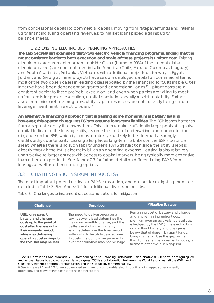from concessional capital to commercial capital, moving from ratepayer funds and internal utility financing (using operating revenues) to market loans priced against utility balance sheets.

#### 3.2.2 EXISTING ELECTRIC BUS FINANCING APPROACHES

**The Lab Secretariat examined thirty-two electric vehicle financing programs, finding that the most consistent barrier to both execution and scale of these projects is upfront cost.** Existing electric bus procurement programs outside China (home to 99% of the current global electric bus fleet) are concentrated in Latin America (Chile, Mexico, Colombia, Uruguay) and South Asia (India, Sri Lanka, Vietnam), with additional projects under way in Egypt, Jordan, and Georgia. These projects have seldom deployed capital on commercial terms; most of the two dozen cases in leading cities reported by the Financing for Sustainable Cities Initiative have been dependent on grants and concessional loans.<sup>11</sup> Upfront costs are a consistent barrier to these projects' execution, and even when parties are willing to meet upfront costs for project execution, capital constraints heavily restrict scalability. Further, aside from minor rebate programs, utility capital resources are not currently being used to leverage investment in electric buses.<sup>12</sup>

**An alternative financing approach that is gaining some momentum is battery leasing, however, this approach requires BSPs to assume long-term liabilities.** The BSP leases batteries from a separate entity that owns them. This in turn requires sufficiently large pools of high-risk capital to finance the leasing entity, assume the costs of underwriting and complete due diligence on the BSP, which is, in most contexts, is unlikely to be deemed a strongly creditworthy counterparty. Leasing also places long-term liabilities on the BSP's balance sheet, whereas there is no such liability under a PAYS transaction since the utility is repaid directly through the BSP's electricity bill as an operating expense. Leasing is also relatively unattractive to larger entities with access to capital markets, being typically more expensive than other loan products. See Annex 7.3 for further detail on differentiating PAYS from leasing, as well as other financing options.

#### 3.3 CHALLENGES TO INSTRUMENT SUCCESS

 $\overline{a}$ 

The most important potential risks in a PAYS transaction, and options for mitigating them are detailed in Table 3. See Annex 7.4 for additional discussion on risks.

| Challenge                                                                                                                                                                                                          | Description                                                                                                                                                                                                                                                                                        | <b>Mitigation Strategy</b>                                                                                                                                                                                                                                                                                                                                                     |
|--------------------------------------------------------------------------------------------------------------------------------------------------------------------------------------------------------------------|----------------------------------------------------------------------------------------------------------------------------------------------------------------------------------------------------------------------------------------------------------------------------------------------------|--------------------------------------------------------------------------------------------------------------------------------------------------------------------------------------------------------------------------------------------------------------------------------------------------------------------------------------------------------------------------------|
| Utility only pays for<br>battery and charger<br>costs up to the point of<br>cost effectiveness within<br>their warranty period,<br>while also delivering<br>operating cost savings to<br>the BSP. This may be less | The need to deliver operational<br>savings over diesel determines the<br>maximum monthly charge, and the<br>battery and charger warranty<br>lengths determine the time period<br>within which the utility can recover<br>its costs. The cumulative payments<br>over that duration may not be large | Remaining cost of battery and charger,<br>and any remaining upfront cost<br>premium over an equivalent diesel bus,<br>is bridged by the BSP (if the electric bus<br>cost without battery and charger is<br>below that of diesel), by grant funds.<br>Using grants to close this gap, rather<br>than to meet entire incremental costs, is<br>far more effective. Such gaps will |

*Table 3 - Challenges to instrument success and options for mitigation*

<sup>11</sup> See Li, Castellanos, and Maassen [\(2018 forthcoming\)](https://doi.org/10.1016/j.retrec.2018.06.016); an[d Financing Sustainable Cities Initiative](http://financingsustainablecities.org/explore/solutions/low-and-zero-emission-buses) (FSCI) portal cataloguing lowand zero-emissions bus projects currently in progress. FSCI is a collaboration between the World Resources Institute (WRI) and C40 Cities, with support from Citi Foundation and the Global Environment Facility.

<sup>&</sup>lt;sup>12</sup> See Annexes 7.1 and 7.2 for an abbreviated summary of comparable electric bus financing approaches currently in operation, and relevant PAYS transactions in other sectors.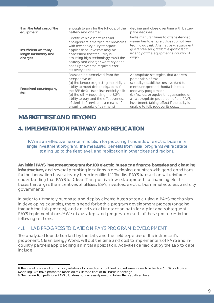| than the total cost of the<br>equipment.                   | enough to pay for the full cost of the<br>battery and charger.                                                                                                                                                                                                                                                                           | decline and close over time with battery<br>price declines.                                                                                                                                                                                                                                                                                     |
|------------------------------------------------------------|------------------------------------------------------------------------------------------------------------------------------------------------------------------------------------------------------------------------------------------------------------------------------------------------------------------------------------------|-------------------------------------------------------------------------------------------------------------------------------------------------------------------------------------------------------------------------------------------------------------------------------------------------------------------------------------------------|
| Insufficient warranty<br>length for battery and<br>charger | Electric vehicle batteries and<br>chargers are emerging technologies<br>with few heavy-duty transport<br>applications. Investors may be<br>concerned that the utility is<br>assuming high technology risks if the<br>battery and charger warranty does<br>not fully cover the required cost<br>recovery period.                          | Invite manufacturers to offer extended<br>warranties to ensure utilities do not bear<br>technology risk. Alternatively, equivalent<br>guarantee sought from export credit<br>agency of the equipment's country of<br>origin.                                                                                                                    |
| Perceived counterparty<br>risk                             | Risks can be perceived from the<br>perspective of:<br>(a) the lender (regarding the utility's<br>ability to meet debt obligations if<br>the BSP defaults on its electricity bill)<br>(b) the utility (regarding the BSP's<br>ability to pay and the effectiveness<br>of denial-of-service as a means of<br>ensuring security of payment) | Appropriate strategies, that address<br>perception of risk:<br>(a) utility establishes reserve fund to<br>meet unexpected shortfalls in cost<br>recovery program; or<br>(b) first-loss or equivalent guarantee on<br>an appropriate proportion of the PAYS<br>investment, taking effect if the utility is<br>unable to fully recover its costs. |

## *MARKET TEST AND BEYOND*

## **4. IMPLEMENTATION PATHWAY AND REPLICATION**

*PAYS is an effective near-term solution for procuring hundreds of electric buses in a single investment program. The measured benefits from initial programs will facilitate scaling up to the fleet level, and replication in other cities and regions.*

**An initial PAYS investment program for 100 electric buses can finance batteries and charging infrastructure,** and several promising locations in developing countries with good conditions for the innovation have already been identified.<sup>13</sup> The first PAYS transaction will reinforce understanding that PAYS for Clean Transport is a low-risk approach to financing electric buses that aligns the incentives of utilities, BSPs, investors, electric bus manufacturers, and city governments.

In order to ultimately purchase and deploy electric buses at scale using a PAYS mechanism in developing countries, there is need for both a program development process (ongoing through the Lab process), and an individual transaction path for a pilot and subsequent PAYS implementations.<sup>14</sup> We discuss steps and progress on each of these processes in the following sections.

#### 4.1 LAB PROGRESS TO DATE ON PAYS PROGRAM DEVELOPMENT

The analytical foundation laid by the Lab, and the field expertise of the instrument's proponent, Clean Energy Works, will cut the time and cost to implementers of PAYS and incountry partners approaching an initial application. Activities carried out by the Lab to date include:

 $\overline{a}$ 13 The size of a transaction can vary substantially based on actual fleet and retirement needs. In Section 5.1 "Quantitative Modelling" we have presented modeled results for a fleet of 100 buses in Santiago.

<sup>14</sup> The transaction path for a PAYS pilot does not necessarily need to follow the steps listed here.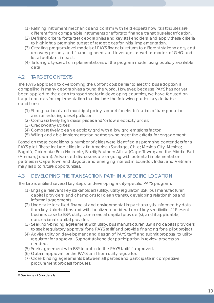- (1) Refining instrument mechanics and confirm with field experts how its attributes are different from comparable instruments or efforts to finance transit bus electrification.
- (2) Defining criteria for target geographies and key stakeholders, and apply these criteria to highlight a promising subset of target cities for initial implementation.
- (3) Creating program-level models of PAYS financial returns to different stakeholders, cost recovery periods, and financing needs and leverage, as well as models of GHG and local pollutant impact.
- (4) Tailoring city-specific implementations of the program model using publicly available data.

#### 4.2 TARGET CONTEXTS

The PAYS approach to overcoming the upfront cost barrier to electric bus adoption is compelling in many geographies around the world. However, because PAYS has not yet been applied to the clean transport sector in developing countries, we have focused on target contexts for implementation that include the following particularly desirable conditions:

- (1) Strong national and municipal policy support for electrification of transportation and/or reducing diesel pollution;
- (2) Comparatively high diesel prices and/or low electricity prices;
- (3) Creditworthy utilities;
- (4) Comparatively clean electricity grid with a low grid emissions factor;
- (5) Willing and able implementation partners who meet the criteria for engagement.

Based on these conditions, a number of cities were identified as promising contenders for a PAYS pilot. These include cities in Latin America (Santiago, Chile; Mexico City, Mexico; Bogotá, Colombia; Belo Horizonte, Brazil); Southern Africa (Cape Town); and the Middle East (Amman, Jordan). Advanced discussions are ongoing with potential implementation partners in Cape Town and Bogotá, and emerging interest in Ecuador, India, and Vietnam may lead to future opportunities.

#### 4.3 DEVELOPING THE TRANSACTION PATH IN A SPECIFIC LOCATION

The Lab identified several key steps for developing a city-specific PAYS program:

- (1) Engage relevant key stakeholders (utility, utility regulator, BSP, bus manufacturer, capital providers, and champions for clean transit), developing relationships and informal agreements.
- (2) Undertake localized financial and environmental impact analysis, informed by data from key stakeholders and with localized consideration of key sensitivities. <sup>15</sup> Present business case to BSP, utility, commercial capital provider(s), and if applicable, concessional capital provider.
- (3) Seek non-binding agreement with utility, bus manufacturer, BSP and capital providers to seek regulatory approval for a PAYS tariff and provide financing for a pilot project.
- (4) Advise utility on development and design of PAYS tariff and submit proposal to utility regulator for approval. Support stakeholder participation in review process as needed.
- (5) Seek agreement with BSP to opt in to the PAYS tariff if approved.
- (6) Obtain approval for the PAYS tariff from utility regulator.
- (7) Close binding agreements between all parties and participate in competitive procurement process for buses.

 $\overline{a}$ 

<sup>15</sup> See Annex 7.5 for details.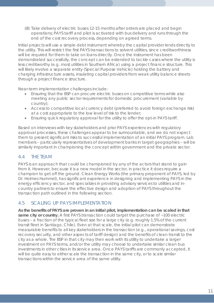(8) Take delivery of electric buses 12-15 months after orders are placed and begin operations; PAYS tariff and pilot is activated with bus delivery and runs through the end of the cost recovery process, depending on agreed terms.

Initial projects will use a simple debt instrument whereby the capital provider lends directly to the utility. This will restrict the first PAYS transactions to solvent utilities, since creditworthiness will be required for them to take on loans directly. Once the instrument has been demonstrated successfully, the concept can be extended to tackle cases where the utility is less creditworthy (e.g. most utilities in Southern Africa) using a project finance structure. This will likely involve a separate entity (Special Purpose Vehicle) holding the battery and charging infrastructure assets, insulating capital providers from weak utility balance sheets through a project finance structure.

Near-term implementation challenges include:

- Ensuring that the BSP can procure electric buses on competitive terms while also meeting any public sector requirements for domestic procurement (variable by country);
- Access to competitive local currency debt (preferred to avoid foreign exchange risk) at a cost appropriate to the low level of risk to the lender;
- Ensuring quick regulatory approval for the utility to offer the opt-in PAYS tariff.

Based on interviews with key stakeholders and prior PAYS experiences with regulatory approval processes, these challenges appear to be surmountable, and we do not expect them to present significant risks to successful implementation of an initial PAYS program. Lab members – particularly representatives of development banks in target geographies – will be similarly important in championing the concept within government and the private sector.

#### 4.4 THE TEAM

PAYS is an approach that could be championed by any of the actors that stand to gain from it. However, because it is a new model in the sector, in practice it does require a champion to get off the ground. Clean Energy Works (the primary proponent of PAYS, led by Dr. Holmes Hummel), has significant experience in designing and implementing PAYS in the energy efficiency sector, and specializes in providing advisory services to utilities and incountry partners to ensure the effective design and adoption of PAYS throughout the transaction path outlined in the following section.

#### 4.5 SCALING UP PAYS IMPLEMENTATION

**As the benefits of PAYS are proven in an initial pilot, implementation can be scaled in that same city or country.** A first PAYS transaction could target the purchase of ~100 electric buses – a fraction of the typical fleet size for a large city (e.g. roughly 1.5% of the current transit fleet in Santiago, Chile). Even at that scale, the initial pilot can demonstrate measurable benefits to all key stakeholders in the transaction (e.g., operational savings, cost recovery security, and other aspects of tariff design) and the benefits of clean transit to the city as a whole. The BSP in that city may then work with its utility to undertake a larger investment on PAYS terms, and/or the utility may choose to undertake similar clean bus investments in other cities in its service area. Once PAYS tariffs are commonly accepted, it will be quite easy to either scale the transaction in the same city, or to scale similar transactions within the service area of the same utility.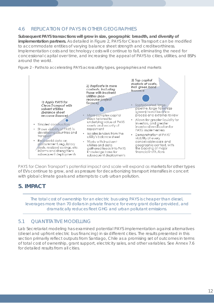#### 4.6 REPLICATION OF PAYS IN OTHER GEOGRAPHIES

**Subsequent PAYS transactions will grow in size, geographic breadth, and diversity of implementation partners.** As detailed in Figure 2, PAYS for Clean Transport can be modified to accommodate entities of varying balance sheet strength and creditworthiness. Implementation costs and technology costs will continue to fall, eliminating the need for concessional capital over time, and increasing the appeal of PAYS to cities, utilities, and BSPs around the world.





PAYS for Clean Transport's potential impact and scale will expand as markets for other types of EVs continue to grow, and as pressure for decarbonizing transport intensifies in concert with global climate goals and attempts to curb urban pollution.

#### **5. IMPACT**

*The total cost of ownership for an electric bus using PAYS is cheaper than diesel, leverages more than 70 dollars in private finance for every grant dollar provided, and dramatically reduces fleet GHG and urban pollutant emissions.* 

#### 5.1 QUANTITATIVE MODELLING

Lab Secretariat modeling has examined potential PAYS implementation against alternatives (diesel and upfront electric bus financing) in six different cities. The results presented in this section primarily reflect outputs from Santiago, Chile as a promising set of outcomes in terms of total cost of ownership, grant support, electricity sales, and other variables. See Annex 7.6 for detailed results from all cities.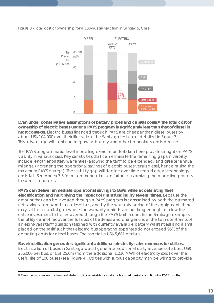*Figure 3 - Total cost of ownership for a 100-bus transaction in Santiago, Chile*



**Even under conservative assumptions of battery prices and capital costs,<sup>16</sup> the total cost of ownership of electric buses under a PAYS program is significantly less than that of diesel in most contexts.** Electric buses financed through PAYS are cheaper than diesel buses by about US\$ 104,000 over their lifecycle in the Santiago test case, detailed in Figure 3. This advantage will continue to grow as battery and other technology costs decline.

The PAYS programmatic-level modelling exercise undertaken here provides insight on PAYS viability in various cities. Key sensitivities that can eliminate the remaining gaps in viability include lengthier battery warranties (allowing the tariff to be extended) and greater annual mileage (increasing the operational savings of electric buses versus diesel, hence raising the maximum PAYS charge). The viability gap will decline over time regardless, as technology costs fall. See Annex 7.5 for recommendations on further customizing the modelling process to specific contexts.

**PAYS can deliver immediate operational savings to BSPs, while accelerating fleet electrification and multiplying the impact of grant funding by several times.** Because the amount that can be invested through a PAYS program is constrained by both the estimated net savings compared to a diesel bus, and by the warranty period of the equipment, there may still be a capital gap where the warranty periods are not long enough to allow the entire investment to be recovered through the PAYS tariff alone. In the Santiago example, the utility cannot recover the full cost of batteries and charger under the twin constraints of an eight-year tariff duration (aligned with currently available battery warranties) and a limit placed on the tariff such that electric bus operating expenses do not exceed 95% of the operating costs for diesel buses. The shortfall is US\$ 5,681 per bus.

**Bus electrification generates significant additional electricity sales revenues for utilities.** Electrification of buses in Santiago would generate additional utility revenues of about US\$ 256,000 per bus, or US\$ 25.6m (from the additional 1,216 MWh of electricity sold) over the useful life of 100 buses (see Figure 4). Utilities with surplus capacity may be willing to provide

 $\overline{a}$ 

<sup>16</sup> Even the most-recent battery cost data publicly-available typically trails actual market conditions by 12-15 months.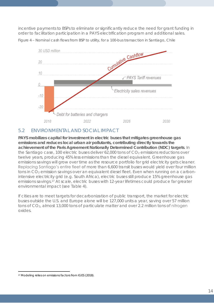incentive payments to BSPs to eliminate or significantly reduce the need for grant funding in order to facilitation participation in a PAYS electrification program and additional sales.



*Figure 4 – Nominal cash flows from BSP to utility, for a 100-bus transaction in Santiago, Chile*

#### 5.2 ENVIRONMENTAL AND SOCIAL IMPACT

**PAYS mobilizes capital for investment in electric buses that mitigates greenhouse gas emissions and reduces local urban air pollutants, contributing directly towards the achievement of the Paris Agreement Nationally Determined Contribution (NDC) targets**. In the Santiago case, 100 electric buses deliver  $62,000$  tons of  $CO<sub>2</sub>$  emissions reductions over twelve years, producing 45% less emissions than the diesel equivalent. Greenhouse gas emissions savings will grow over time as the resource portfolio for grid electricity gets cleaner. Replacing Santiago's entire fleet of more than 6,600 transit buses would yield over four million tons in CO<sub>2</sub> emission savings over an equivalent diesel fleet. Even when running on a carbonintensive electricity grid (e.g. South Africa), electric buses still produce 15% greenhouse gas emissions savings.<sup>17</sup> At scale, electric buses with 12-year lifetimes could produce far greater environmental impact (see Table 4).

If cities are to meet targets for decarbonization of public transport, the market for electric buses outside the U.S. and Europe alone will be 127,000 units a year, saving over 57 million tons of CO2, almost 13,000 tons of particulate matter and over 2.2 million tons of nitrogen oxides.

<sup>17</sup> Modeling relies on emissions factors from IGES (2018).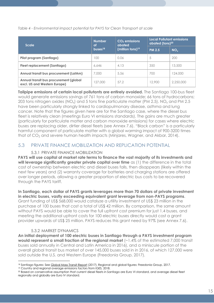*Table 4 - Environmental impact potential for PAYS for Clean Transport at scale*

| <b>Scale</b>                                                           | <b>Number</b><br>оf    | $CO2$ emissions<br>abated | <b>Local Pollutant emissions</b><br>abated (tons) <sup>20</sup> |                 |  |
|------------------------------------------------------------------------|------------------------|---------------------------|-----------------------------------------------------------------|-----------------|--|
|                                                                        | $b$ uses <sup>18</sup> | (million tons) $19$       | <b>PM 2.5</b>                                                   | NO <sub>x</sub> |  |
| Pilot program (Santiago)                                               | 100                    | 0.06                      | 5                                                               | 200             |  |
| <b>Fleet replacement (Santiago)</b>                                    | 6,646                  | 4.13                      | 350                                                             | 13,500          |  |
| Annual transit bus procurement (LatAm)                                 | 7,000                  | 5.56                      | 700                                                             | 124,000         |  |
| Annual transit bus procurement (global<br>excl. US and Western Europe) | 127,000                | 57.2                      | 12,900                                                          | 2,250,000       |  |

**Tailpipe emissions of certain local pollutants are entirely avoided.** The Santiago 100-bus fleet would generate emissions savings of 761 tons of carbon monoxide; 66 tons of hydrocarbons; 203 tons nitrogen oxides (NO<sub>x</sub>) and 5 tons fine particulate matter (PM 2.5). NO<sub>x</sub> and PM 2.5 have been particularly strongly linked to cardiopulmonary disease, asthma and lung cancer. Note that the figures given here are for the Santiago case, where the diesel bus fleet is relatively clean (meetings Euro VI emissions standards). The gains are much greater (particularly for particulate matter and carbon monoxide emissions) for cases where electric buses are replacing older, dirtier diesel fleets (see Annex 7.6). "Black carbon" is a particularly harmful component of particulate matter with a global warming impact of 900-3200 times that of  $CO<sub>2</sub>$  and severe human health impacts (Minjares, Wagner, and Akbar, 2014).

#### 5.3 PRIVATE FINANCE MOBILIZATION AND REPLICATION POTENTIAL

#### 5.3.1 PRIVATE FINANCE MOBILIZATION

**PAYS will use capital at market rate terms to finance the vast majority of its investments and will leverage significantly greater private capital over time** as (1) the difference in the total cost of ownership between electric and diesel buses falls, then disappears (likely within the next few years) and (2) warranty coverage for batteries and charging stations are offered over longer periods, allowing a greater proportion of electric bus costs to be recovered through the PAYS tariff.

**In Santiago, each dollar of PAYS grants leverages more than 70 dollars of private investment in electric buses, vastly exceeding equivalent grant leverage from non-PAYS programs**. Grant funding of US\$ 568,000 would catalyze a utility investment of US\$ 23 million in the purchase of 100 buses that cost a total of US\$ 42 million. By comparison, the same amount without PAYS would be able to cover the full upfront cost premium for just 1.4 buses, and meeting the additional upfront costs for 100 electric buses directly would cost a grant provider upwards of US\$ 25 million. PAYS reduces this grant need by 97% (see Annex 7.6).

#### 5.3.2 MARKET DYNAMICS

**An initial deployment of 100 electric buses in Santiago through a PAYS investment program would represent a small fraction of the regional market** (~1.4% of the estimated 7,000 transit buses sold annually in Central and Latin America in 2016), and a miniscule portion of the overall global transit bus market of over 145,000 buses sold in in 2016, of which 127,000 were sold outside the U.S. and Western Europe (Freedonia Group, 2017).

<sup>18</sup> Santiago figures: See [Global Mass Transit Report](https://www.globalmasstransit.net/archive.php?id=28637) (2017). Regional and global figures: Freedonia Group, 2017.

<sup>19</sup> Country and regional average emissions factors from IGES, 2018.

<sup>20</sup> Based on conservative assumption that current diesel fleets in Santiago are Euro VI standard, and average diesel fleet regionally and globally are Euro IV standard.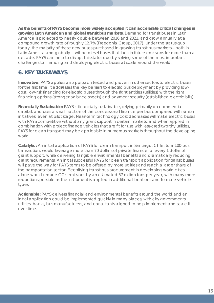**As the benefits of PAYS become more widely accepted it can accelerate critical changes in growing Latin American and global transit bus markets.** Demand for transit buses in Latin America is projected to nearly double between 2016 and 2021, and grow annually at a compound growth rate of roughly 12.7% (Freedonia Group, 2017). Under the status quo today, the majority of these new buses purchased in growing transit bus markets – both in Latin America and globally -- will be diesel buses that lock in future emissions for more than a decade. PAYS can help to disrupt this status quo by solving some of the most important challenges to financing and deploying electric buses at scale around the world.

## **6. KEY TAKEAWAYS**

**Innovative:** PAYS applies an approach tested and proven in other sectors to electric buses for the first time. It addresses the key barriers to electric bus deployment by providing lowcost, low-risk financing for electric buses through the right entities (utilities) with the right financing options (stronger balance sheets) and payment security (established electric bills).

**Financially Sustainable:** PAYS is financially sustainable, relying primarily on commercial capital, and uses a small fraction of the concessional finance per bus compared with similar initiatives, even at pilot stage. Near-term technology cost decreases will make electric buses with PAYS competitive without any grant support in certain markets, and when applied in combination with project finance vehicles that are fit for use with less-creditworthy utilities, PAYS for clean transport may be applicable in numerous markets throughout the developing world.

**Catalytic:** An initial application of PAYS for clean transport in Santiago, Chile, to a 100-bus transaction, would leverage more than 70 dollars of private finance for every 1 dollar of grant support, while delivering tangible environmental benefits and dramatically reducing grant requirements. An initial successful PAYS for clean transport application for transit buses will pave the way for PAYS terms to be offered by more utilities and reach a larger share of the transportation sector. Electrifying transit bus procurement in developing world cities alone would reduce  $CO<sub>2</sub>$  emissions by an estimated 57 million tons per year, with many more reductions possible as the instrument is applied in additional locations and to more vehicle types.

**Actionable:** PAYS delivers financial and environmental benefits around the world and an initial application could be implemented quickly in many places, with city governments, utilities, banks, bus manufacturers, and consultants aligned to help implement and scale it over time.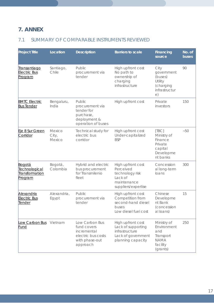## **7. ANNEX**

## 7.1 SUMMARY OF COMPARABLE INSTRUMENTS REVIEWED

| <b>Project Title</b>                                        | Location                  | <b>Description</b>                                                                               | Barriers to scale                                                                                    | Financing<br>source                                                                   | No. of<br>buses |  |
|-------------------------------------------------------------|---------------------------|--------------------------------------------------------------------------------------------------|------------------------------------------------------------------------------------------------------|---------------------------------------------------------------------------------------|-----------------|--|
| <u>Transantiago</u><br><b>Electric Bus</b><br>Program       | Santiago,<br>Chile        | Public<br>procurement via<br>tender                                                              | High upfront cost<br>No path to<br>ownership of<br>charging<br>infrastructure                        | City<br>government<br>(buses)<br>Utility<br>(charging<br>infrastructur<br>$\in)$      | 90              |  |
| <b>BMTC Electric</b><br><b>Bus Tender</b>                   | Bengaluru,<br>India       | Public<br>procurement via<br>tender for<br>purchase,<br>deployment &<br>operation of buses       | High upfront cost                                                                                    | Private<br>investors                                                                  | 150             |  |
| Eje 8 Sur Green<br>Corridor                                 | Mexico<br>City,<br>Mexico | Technical study for<br>electric bus<br>corridor                                                  | High upfront cost<br>Under-capitalized<br><b>BSP</b>                                                 | [TBC]<br>Ministry of<br>Finance<br>Private<br>capital<br>Developme<br>nt banks        | $-50$           |  |
| Bogotá<br><u>Fechnological</u><br>Transformation<br>Program | Bogotá,<br>Colombia       | Hybrid and electric<br>bus procurement<br>for Transmilenio<br>fleet                              | High upfront cost<br>Perceived<br>technology risk<br>Lack of<br>maintenance<br>suppliers/expertise   | Concession<br>al long-term<br>loans                                                   | 300             |  |
| <b>Alexandria</b><br><b>Electric Bus</b><br><u>Tender</u>   | Alexandria,<br>Egypt      | Public<br>procurement via<br>tender                                                              | High upfront cost<br>Competition from<br>second-hand diesel<br>buses<br>Low diesel fuel cost         | Chinese<br>Developme<br>nt Bank<br>(concession<br>al loans)                           | 15              |  |
| Low Carbon Bus<br><b>Fund</b>                               | Vietnam                   | Low Carbon Bus<br>fund covers<br>incremental<br>electric bus costs<br>with phase-out<br>approach | High upfront cost<br>Lack of supporting<br>infrastructure<br>Lack of government<br>planning capacity | Ministry of<br>Environment<br>and<br>Transport<br><b>NAMA</b><br>facility<br>(grants) | 250             |  |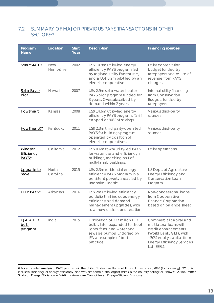#### 7.2 SUMMARY OF MAJOR PREVIOUS PAYS TRANSACTIONS IN OTHER SECTORS<sup>21</sup>

| Program<br>Name                                          | Location          | <b>Start</b><br>Year | Description                                                                                                                                                           | Financing sources                                                                                                                                                                   |
|----------------------------------------------------------|-------------------|----------------------|-----------------------------------------------------------------------------------------------------------------------------------------------------------------------|-------------------------------------------------------------------------------------------------------------------------------------------------------------------------------------|
| SmartSTART <sup>®</sup>                                  | New<br>Hampshire  | 2002                 | US\$ 10.8m utility-led energy<br>efficiency PAYS program led<br>by regional utility Eversource,<br>and a US\$ 0.2m pilot led by an<br>electric cooperative.           | Utility conservation<br>budget funded by<br>ratepayers and re-use of<br>revenue from PAYS<br>charges                                                                                |
| Solar Saver<br>Pilot                                     | Hawaii            | 2007                 | US\$ 2.9m solar water heater<br>PAYS pilot program funded for<br>3 years. Oversubscribed by<br>demand within 2 years.                                                 | Internal utility financing<br>from Conservation<br><b>Budgets funded by</b><br>ratepayers                                                                                           |
| How\$mart                                                | Kansas            | 2008                 | US\$ 14.6m utility-led energy<br>efficiency PAYS program. Tariff<br>capped at 90% of savings.                                                                         | Various third-party<br>sources                                                                                                                                                      |
| How\$martKY                                              | Kentucky          | 2011                 | US\$ 2.3m third party-operated<br>PAYS for buildings program<br>operated by coalition of<br>electric cooperatives.                                                    | Various third-party<br>sources                                                                                                                                                      |
| <b>Windsor</b><br><b>Efficiency</b><br>PAYS <sup>®</sup> | California        | 2012                 | US\$ 0.6m town/utility-led PAYS<br>for water use and efficiency in<br>buildings, reaching half of<br>multi-family buildings.                                          | Utility operations                                                                                                                                                                  |
| Upgrade to<br>\$ave                                      | North<br>Carolina | 2015                 | US\$ 2.3m residential energy<br>efficiency PAYS program in a<br>persistent poverty area, led by<br>Roanoke Electric.                                                  | US Dept. of Agriculture<br>Energy Efficiency and<br>Conservation Loan<br>Program                                                                                                    |
| <b>HELP PAYS®</b>                                        | Arkansas          | 2016                 | US\$ 2m utility-led efficiency<br>portfolio that includes energy<br>efficiency and demand<br>management upgrades, with<br>solar now under consideration.              | Non-concessional loans<br>from Cooperative<br><b>Finance Corporation</b><br>based on balance sheet                                                                                  |
| <u>UJALA LED</u><br><u>bulb</u><br>program               | India             | 2015                 | Distribution of 237 million LED<br>bulbs, later expanded to street<br>lights, fans, and water and<br>sewage pumps. Endorsed by<br>IEA as example of best<br>practice. | Commercial capital and<br>multilateral loans with<br>credit enhancements<br>(World Bank, GEF), with<br>~30% equity capital from<br><b>Energy Efficiency Services</b><br>Ltd (EESL). |

 $\overline{a}$ <sup>21</sup> For a detailed analysis of PAYS programs in the United States, see Hummel, H. and H. Lachman, 2018 (forthcoming). "What is inclusive financing for energy efficiency, and why are some of the largest states in the country calling for it now?". *2018 Summer Study on Energy Efficiency in Buildings*, American Council for an Energy-Efficient Economy.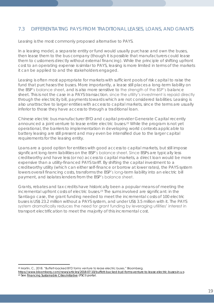#### 7.3 DIFFERENTIATING PAYS FROM TRADITIONAL LEASES, LOANS, AND GRANTS

Leasing is the most commonly proposed alternative to PAYS.

In a leasing model, a separate entity or fund would usually purchase and own the buses, then lease them to the bus company (though it is possible that manufacturers could lease them to customers directly without external financing). While the principle of shifting upfront cost to an operating expense is similar to PAYS, leasing is more limited in terms of the markets it can be applied to and the stakeholders engaged.

Leasing is often most appropriate for markets with sufficient pools of risk capital to raise the fund that purchases the buses. More importantly, a lease still places a long-term liability on the BSP's balance sheet, and is also more sensitive to the strength of the BSP's balance sheet. This is not the case in a PAYS transaction, since the utility's investment is repaid directly through the electricity bill, payments towards which are not considered liabilities. Leasing is also unattractive to larger entities with access to capital markets, since the terms are usually inferior to those they have access to through a traditional loan.

Chinese electric bus manufacturer BYD and capital provider Generate Capital recently announced a joint venture to lease entire electric buses.<sup>22</sup> While the program is not yet operational, the barriers to implementation in developing world contexts applicable to battery leasing are still present and may even be intensified due to the larger capital requirements for the leasing entity.

Loans are a good option for entities with good access to capital markets, but still impose significant long-term liabilities on the BSP's balance sheet. Since BSPs are typically less creditworthy and have less (or no) access to capital markets, a direct loan would be more expensive than a utility-financed PAYS tariff. By shifting the capital investment to a creditworthy utility (which can either self-finance or borrow at lower rates), the PAYS system lowers overall financing costs, transforms the BSP's long-term liability into an electric bill payment, and isolates lenders from the BSP's balance sheet.

Grants, rebates and tax credits have historically been a popular means of meeting the incremental upfront costs of electric buses.<sup>23</sup> The sums involved are significant: in the Santiago case, the grant funding needed to meet the incremental costs of 100 electric buses is US\$ 23.2 million without a PAYS system, and under US\$ 3.5 million with it. The PAYS system dramatically reduces the need for grant funding by leveraging utilities' interest in transport electrification to meet the majority of this incremental cost.

 $\overline{a}$ <sup>22</sup> Martin, C., 2018. "Buffett-backed BYD forms venture to lease electric buses." Bloomberg.

<https://www.bloomberg.com/news/articles/2018-07-10/buffett-backed-byd-forms-venture-to-lease-electric-buses-in-u-s> <sup>23</sup> See **Financing Sustainable Cities Initiative (FSCI) portal.**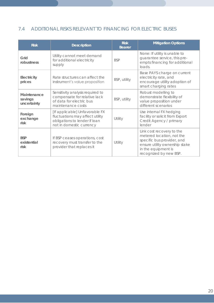## 7.4 ADDITIONAL RISKS RELEVANT TO FINANCING FOR ELECTRIC BUSES

| <b>Risk</b>                           | Description                                                                                                                    | <b>Risk</b><br><b>Bearer</b> | <b>Mitigation Options</b>                                                                                                                                               |
|---------------------------------------|--------------------------------------------------------------------------------------------------------------------------------|------------------------------|-------------------------------------------------------------------------------------------------------------------------------------------------------------------------|
| Grid<br>robustness                    | Utility cannot meet demand<br>for additional electricity<br>supply                                                             | <b>BSP</b>                   | None: If utility is unable to<br>guarantee service, this pre-<br>empts financing for additional<br>loads.                                                               |
| Electricity<br>prices                 | Rate structures can affect the<br>instrument's value proposition                                                               | BSP, utility                 | Base PAYS charge on current<br>electricity rate, and<br>encourage utility adoption of<br>smart charging rates                                                           |
| Maintenance<br>savings<br>uncertainty | Sensitivity analysis required to<br>compensate for relative lack<br>of data for electric bus<br>maintenance costs              | BSP, utility                 | Robust modelling to<br>demonstrate flexibility of<br>value proposition under<br>different scenarios                                                                     |
| Foreign<br>exchange<br>risk           | [If applicable] Unfavorable FX<br>fluctuations may affect utility<br>obligations to lender if loan<br>not in domestic currency | Utility                      | Use internal FX hedging<br>facility or solicit from Export<br>Credit Agency / primary<br>lender                                                                         |
| <b>BSP</b><br>existential<br>risk     | If BSP ceases operations, cost<br>recovery must transfer to the<br>provider that replaces it                                   | Utility                      | Link cost recovery to the<br>metered location, not the<br>specific bus provider, and<br>ensure utility ownership stake<br>in the equipment is<br>recognized by new BSP. |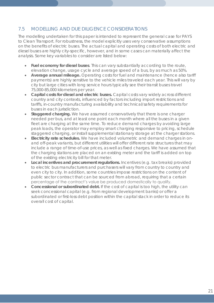#### 7.5 MODELLING AND DUE DILIGENCE CONSIDERATIONS

The modelling undertaken for this paper is intended to represent the general case for PAYS to Clean Transport. For robustness, the model explicitly uses very conservative assumptions on the benefits of electric buses. The actual capital and operating costs of both electric and diesel buses are highly city-specific, however, and in some cases can materially affect the analysis. Some key variables to consider are listed below:

- **Fuel economy for diesel buses**. This can vary substantially according to the route, elevation change, usage cycle and average speed of a bus, by as much as 50%.
- **Average annual mileage.** Operating costs for fuel and maintenance (hence also tariff payments) are highly sensitive to the vehicle miles traveled each year. This will vary by city but large cities with long service hours typically see their transit buses travel 75,000-85,000 kilometers per year.
- **Capital costs for diesel and electric buses.** Capital costs vary widely across different country and city contexts, influenced by factors including import restrictions and tariffs, in-country manufacturing availability and technical/safety requirements for buses in each jurisdiction.
- **Staggered charging.** We have assumed conservatively that there is one charger needed per bus, and at least one point each month where all the buses in a given fleet are charging at the same time. To reduce demand charges by avoiding large peak loads, the operator may employ smart charging responsive to pricing, schedule staggered charging, or install supplemental stationary storage at the charger stations.
- **Electricity rate schedules.** We have included volumetric and demand charges in onand off-peak variants, but different utilities will offer different rate structures that may include a range of time-of-use prices, as well as fixed charges. We have assumed that the charging stations are placed on an existing meter and the tariff is added on top of the existing electricity bill for that meter.
- **Local incentives and procurement regulations.** Incentives (e.g. tax breaks) provided to electric bus manufacturers and purchasers will vary from country to country and even city to city. In addition, some countries impose restrictions on the content of public sector contract that can be sourced from abroad, requiring that a certain percentage of the contract's value be produced domestically to qualify.
- **Concessional or subordinated debt.** If the cost of capital is too high, the utility can seek concessional capital (e.g. from regional development banks) or offer a subordinated or first-loss debt position within the capital stack in order to reduce its overall cost of capital.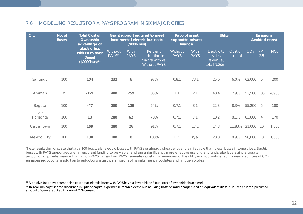#### 7.6 MODELLING RESULTS FOR A PAYS PROGRAM IN SIX MAJOR CITIES

| City              | No. of<br><b>Buses</b> | <b>Total Cost of</b><br>Ownership<br>advantage of<br>electric bus<br>with PAYS over<br><b>Diesel</b><br>(\$000/bus) <sup>24</sup> | Grant support required to meet<br>incremental electric bus costs<br>(\$000/bus) |                     | Ratio of grant<br>support to private<br>finance                   |                        | Utility             |                                                          | <b>Emissions</b><br>Avoided (tons) |                 |                  |                 |
|-------------------|------------------------|-----------------------------------------------------------------------------------------------------------------------------------|---------------------------------------------------------------------------------|---------------------|-------------------------------------------------------------------|------------------------|---------------------|----------------------------------------------------------|------------------------------------|-----------------|------------------|-----------------|
|                   |                        |                                                                                                                                   | Without<br>PAYS <sup>25</sup>                                                   | With<br><b>PAYS</b> | Percent<br>reduction in<br>grants With vs.<br><b>Without PAYS</b> | Without<br><b>PAYS</b> | With<br><b>PAYS</b> | <b>Electricity</b><br>sales<br>revenue,<br>total (US\$m) | Cost of<br>capital                 | CO <sub>2</sub> | <b>PM</b><br>2.5 | NO <sub>x</sub> |
| Santiago          | 100                    | 104                                                                                                                               | 232                                                                             | 6                   | 97%                                                               | 0.8:1                  | 73:1                | 25.6                                                     | 6.0%                               | 62,000          | 5                | 200             |
|                   |                        |                                                                                                                                   |                                                                                 |                     |                                                                   |                        |                     |                                                          |                                    |                 |                  |                 |
|                   |                        |                                                                                                                                   |                                                                                 |                     |                                                                   |                        |                     |                                                          |                                    |                 |                  |                 |
| Amman             | 75                     | $-121$                                                                                                                            | 400                                                                             | 259                 | 35%                                                               | 1:1                    | 2:1                 | 40.4                                                     | 7.9%                               | 52,500 105      |                  | 4,900           |
|                   |                        |                                                                                                                                   |                                                                                 |                     |                                                                   |                        |                     |                                                          |                                    |                 |                  |                 |
| Bogota            | 100                    | $-47$                                                                                                                             | 280                                                                             | 129                 | 54%                                                               | 0.7:1                  | 3:1                 | 22.3                                                     | 8.3%                               | 55,200          | 5                | 180             |
| Belo<br>Horizonte | 100                    | 10                                                                                                                                | 280                                                                             | 62                  | 78%                                                               | 0.7:1                  | 7:1                 | 18.2                                                     | 8.1%                               | 83,800          | $\overline{4}$   | 170             |
|                   |                        |                                                                                                                                   |                                                                                 |                     |                                                                   |                        |                     |                                                          |                                    |                 |                  |                 |
| Cape Town         | 100                    | 169                                                                                                                               | 280                                                                             | 26                  | 91%                                                               | 0.7:1                  | 17:1                | 14.3                                                     | 11.83%                             | 21,000          | 10               | 1,800           |
|                   |                        |                                                                                                                                   |                                                                                 |                     |                                                                   |                        |                     |                                                          |                                    |                 |                  |                 |
| Mexico City       | 100                    | 130                                                                                                                               | 180                                                                             | $\bigcirc$          | 100%                                                              | 1.1:1                  | n/a                 | 20.0                                                     | 8.9%                               | 96,000          | 10               | 1,800           |

These results demonstrate that at a 100-bus scale, electric buses with PAYS are already cheaper over their lifecycle than diesel buses in some cities. Electric buses with PAYS support require far less grant funding to be viable, and are a significantly more effective use of grant funds, also leveraging a greater proportion of private finance than a non-PAYS transaction. PAYS generates substantial revenues for the utility and supports tens of thousands of tons of CO<sub>2</sub> emissions reductions, in addition to reductions in tailpipe emissions of harmful fine particulates and nitrogen oxides.

<sup>24</sup> A positive (negative) number indicates that electric buses with PAYS have a lower (higher) total cost of ownership than diesel.

<sup>25</sup> This column captures the difference in upfront capital expenditure for an electric bus including batteries and charger, and an equivalent diesel bus -- which is the presumed amount of grants required in a non-PAYS scenario.